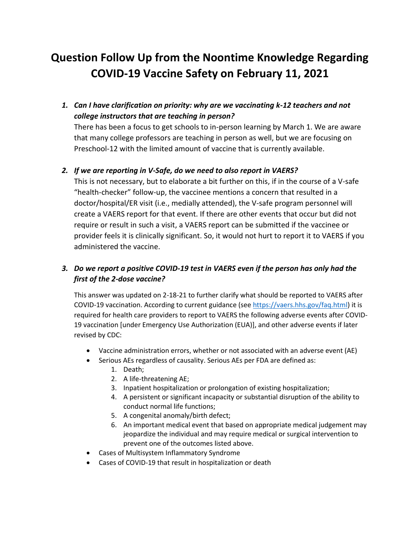## **Question Follow Up from the Noontime Knowledge Regarding COVID-19 Vaccine Safety on February 11, 2021**

*1. Can I have clarification on priority: why are we vaccinating k-12 teachers and not college instructors that are teaching in person?* 

There has been a focus to get schools to in-person learning by March 1. We are aware that many college professors are teaching in person as well, but we are focusing on Preschool-12 with the limited amount of vaccine that is currently available.

## *2. If we are reporting in V-Safe, do we need to also report in VAERS?*

This is not necessary, but to elaborate a bit further on this, if in the course of a V-safe "health-checker" follow-up, the vaccinee mentions a concern that resulted in a doctor/hospital/ER visit (i.e., medially attended), the V-safe program personnel will create a VAERS report for that event. If there are other events that occur but did not require or result in such a visit, a VAERS report can be submitted if the vaccinee or provider feels it is clinically significant. So, it would not hurt to report it to VAERS if you administered the vaccine.

## *3. Do we report a positive COVID-19 test in VAERS even if the person has only had the first of the 2-dose vaccine?*

This answer was updated on 2-18-21 to further clarify what should be reported to VAERS after COVID-19 vaccination. According to current guidance (se[e https://vaers.hhs.gov/faq.html\)](https://gcc02.safelinks.protection.outlook.com/?url=https%3A%2F%2Fvaers.hhs.gov%2Ffaq.html&data=04%7C01%7CBeckerA1%40michigan.gov%7C767b3c50f691434bf7e108d8d4287ce2%7Cd5fb7087377742ad966a892ef47225d1%7C0%7C0%7C637492617640015082%7CUnknown%7CTWFpbGZsb3d8eyJWIjoiMC4wLjAwMDAiLCJQIjoiV2luMzIiLCJBTiI6Ik1haWwiLCJXVCI6Mn0%3D%7C1000&sdata=kIhSjjO67aRICW4IF9QrHyw8Nrc3F%2BvdYSE0i0E9a6o%3D&reserved=0) it is required for health care providers to report to VAERS the following adverse events after COVID-19 vaccination [under Emergency Use Authorization (EUA)], and other adverse events if later revised by CDC:

- Vaccine administration errors, whether or not associated with an adverse event (AE)
- Serious AEs regardless of causality. Serious AEs per FDA are defined as:
	- 1. Death;
	- 2. A life-threatening AE;
	- 3. Inpatient hospitalization or prolongation of existing hospitalization;
	- 4. A persistent or significant incapacity or substantial disruption of the ability to conduct normal life functions;
	- 5. A congenital anomaly/birth defect;
	- 6. An important medical event that based on appropriate medical judgement may jeopardize the individual and may require medical or surgical intervention to prevent one of the outcomes listed above.
- Cases of Multisystem Inflammatory Syndrome
- Cases of COVID-19 that result in hospitalization or death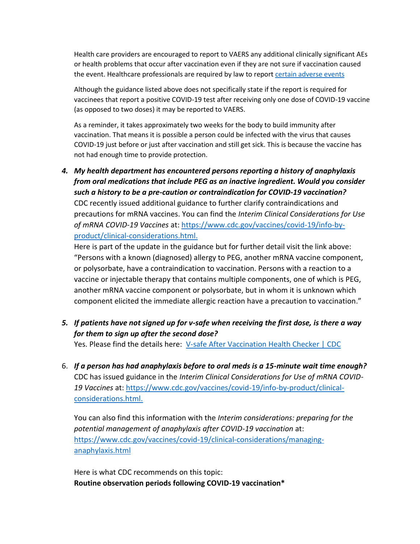Health care providers are encouraged to report to VAERS any additional clinically significant AEs or health problems that occur after vaccination even if they are not sure if vaccination caused the event. Healthcare professionals are required by law to report [certain adverse events](https://gcc02.safelinks.protection.outlook.com/?url=https%3A%2F%2Fvaers.hhs.gov%2Fresources%2Finfoproviders.html&data=04%7C01%7CBeckerA1%40michigan.gov%7C767b3c50f691434bf7e108d8d4287ce2%7Cd5fb7087377742ad966a892ef47225d1%7C0%7C0%7C637492617640015082%7CUnknown%7CTWFpbGZsb3d8eyJWIjoiMC4wLjAwMDAiLCJQIjoiV2luMzIiLCJBTiI6Ik1haWwiLCJXVCI6Mn0%3D%7C1000&sdata=AqpbMGtom1TzAeNF%2FdDm49cqma4FLKNPjFsQb05f3XM%3D&reserved=0)

Although the guidance listed above does not specifically state if the report is required for vaccinees that report a positive COVID-19 test after receiving only one dose of COVID-19 vaccine (as opposed to two doses) it may be reported to VAERS.

As a reminder, it takes approximately two weeks for the body to build immunity after vaccination. That means it is possible a person could be infected with the virus that causes COVID-19 just before or just after vaccination and still get sick. This is because the vaccine has not had enough time to provide protection.

*4. My health department has encountered persons reporting a history of anaphylaxis from oral medications that include PEG as an inactive ingredient. Would you consider such a history to be a pre-caution or contraindication for COVID-19 vaccination?*  CDC recently issued additional guidance to further clarify contraindications and precautions for mRNA vaccines. You can find the *Interim Clinical Considerations for Use of mRNA COVID-19 Vaccines* at: [https://www.cdc.gov/vaccines/covid-19/info-by](https://www.cdc.gov/vaccines/covid-19/info-by-product/clinical-considerations.html)[product/clinical-considerations.html.](https://www.cdc.gov/vaccines/covid-19/info-by-product/clinical-considerations.html)

Here is part of the update in the guidance but for further detail visit the link above: "Persons with a known (diagnosed) allergy to PEG, another mRNA vaccine component, or polysorbate, have a contraindication to vaccination. Persons with a reaction to a vaccine or injectable therapy that contains multiple components, one of which is PEG, another mRNA vaccine component or polysorbate, but in whom it is unknown which component elicited the immediate allergic reaction have a precaution to vaccination."

*5. If patients have not signed up for v-safe when receiving the first dose, is there a way for them to sign up after the second dose?* 

Yes. Please find the details here: [V-safe After Vaccination Health Checker | CDC](https://www.cdc.gov/coronavirus/2019-ncov/vaccines/safety/vsafe.html)

6. *If a person has had anaphylaxis before to oral meds is a 15-minute wait time enough?* CDC has issued guidance in the *Interim Clinical Considerations for Use of mRNA COVID-19 Vaccines* at: [https://www.cdc.gov/vaccines/covid-19/info-by-product/clinical](https://www.cdc.gov/vaccines/covid-19/info-by-product/clinical-considerations.html)[considerations.html.](https://www.cdc.gov/vaccines/covid-19/info-by-product/clinical-considerations.html)

You can also find this information with the *Interim considerations: preparing for the potential management of anaphylaxis after COVID-19 vaccination* at: [https://www.cdc.gov/vaccines/covid-19/clinical-considerations/managing](https://www.cdc.gov/vaccines/covid-19/clinical-considerations/managing-anaphylaxis.html)[anaphylaxis.html](https://www.cdc.gov/vaccines/covid-19/clinical-considerations/managing-anaphylaxis.html)

Here is what CDC recommends on this topic: **Routine observation periods following COVID-19 vaccination\***